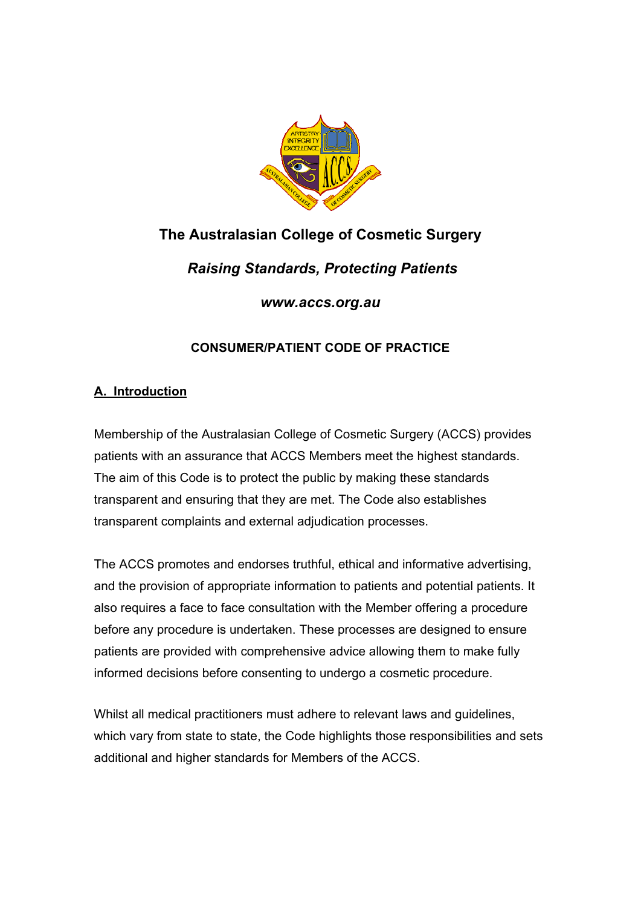

# **The Australasian College of Cosmetic Surgery**

 *Raising Standards, Protecting Patients* 

*www.accs.org.au*

## **CONSUMER/PATIENT CODE OF PRACTICE**

## **A. Introduction**

Membership of the Australasian College of Cosmetic Surgery (ACCS) provides patients with an assurance that ACCS Members meet the highest standards. The aim of this Code is to protect the public by making these standards transparent and ensuring that they are met. The Code also establishes transparent complaints and external adjudication processes.

The ACCS promotes and endorses truthful, ethical and informative advertising, and the provision of appropriate information to patients and potential patients. It also requires a face to face consultation with the Member offering a procedure before any procedure is undertaken. These processes are designed to ensure patients are provided with comprehensive advice allowing them to make fully informed decisions before consenting to undergo a cosmetic procedure.

Whilst all medical practitioners must adhere to relevant laws and guidelines, which vary from state to state, the Code highlights those responsibilities and sets additional and higher standards for Members of the ACCS.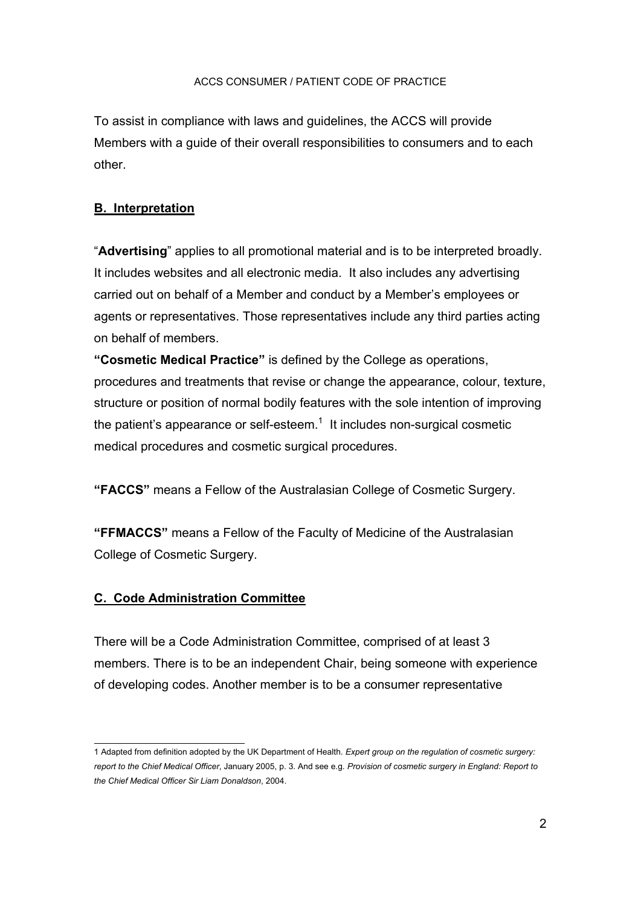To assist in compliance with laws and guidelines, the ACCS will provide Members with a guide of their overall responsibilities to consumers and to each other.

## **B. Interpretation**

"**Advertising**" applies to all promotional material and is to be interpreted broadly. It includes websites and all electronic media. It also includes any advertising carried out on behalf of a Member and conduct by a Member's employees or agents or representatives. Those representatives include any third parties acting on behalf of members.

**"Cosmetic Medical Practice"** is defined by the College as operations, procedures and treatments that revise or change the appearance, colour, texture, structure or position of normal bodily features with the sole intention of improving the patient's appearance or self-esteem.<sup>1</sup> It includes non-surgical cosmetic medical procedures and cosmetic surgical procedures.

**"FACCS"** means a Fellow of the Australasian College of Cosmetic Surgery.

**"FFMACCS"** means a Fellow of the Faculty of Medicine of the Australasian College of Cosmetic Surgery.

## **C. Code Administration Committee**

There will be a Code Administration Committee, comprised of at least 3 members. There is to be an independent Chair, being someone with experience of developing codes. Another member is to be a consumer representative

 1 Adapted from definition adopted by the UK Department of Health. *Expert group on the regulation of cosmetic surgery: report to the Chief Medical Officer*, January 2005, p. 3. And see e.g*. Provision of cosmetic surgery in England: Report to the Chief Medical Officer Sir Liam Donaldson*, 2004.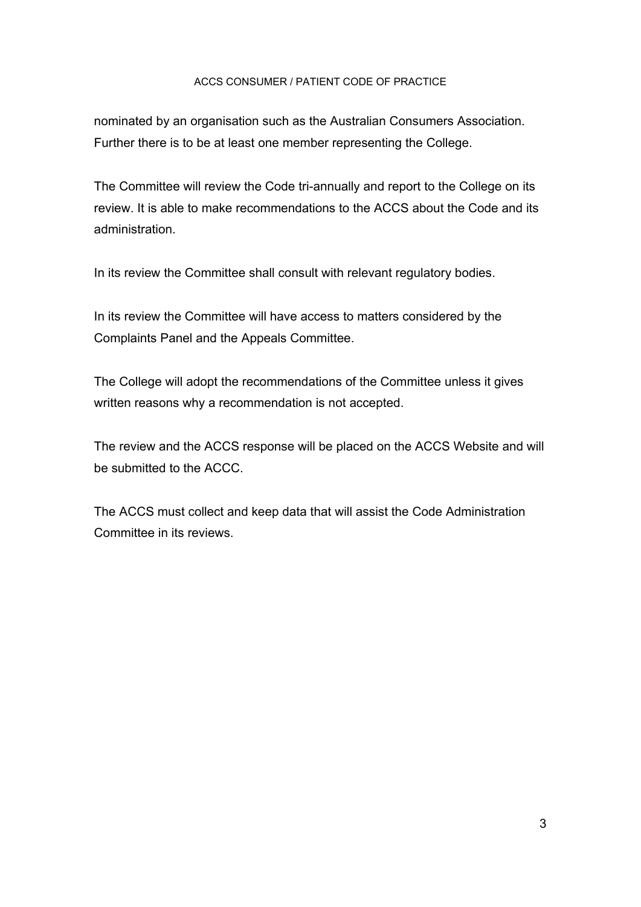nominated by an organisation such as the Australian Consumers Association. Further there is to be at least one member representing the College.

The Committee will review the Code tri-annually and report to the College on its review. It is able to make recommendations to the ACCS about the Code and its administration.

In its review the Committee shall consult with relevant regulatory bodies.

In its review the Committee will have access to matters considered by the Complaints Panel and the Appeals Committee.

The College will adopt the recommendations of the Committee unless it gives written reasons why a recommendation is not accepted.

The review and the ACCS response will be placed on the ACCS Website and will be submitted to the ACCC.

The ACCS must collect and keep data that will assist the Code Administration Committee in its reviews.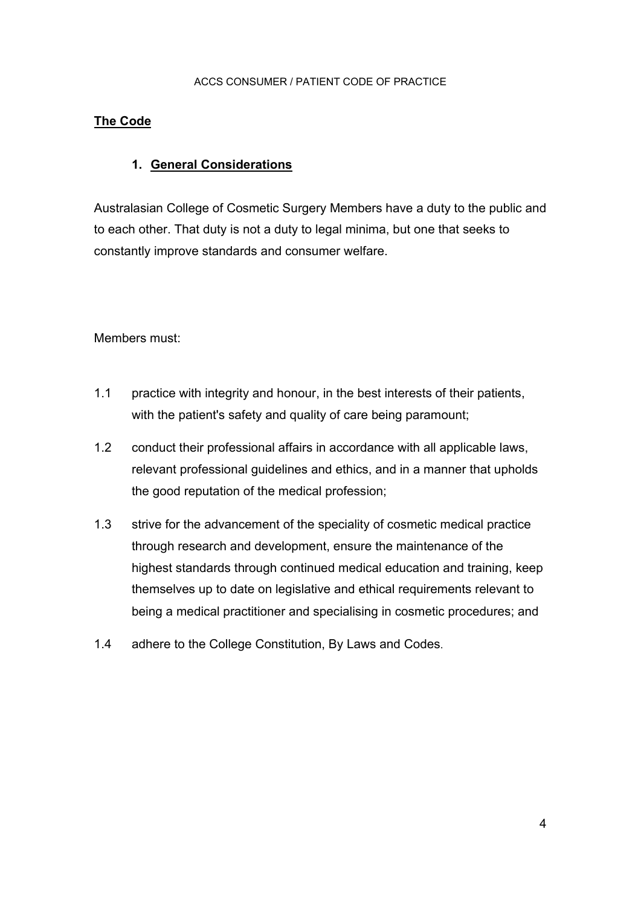## **The Code**

## **1. General Considerations**

Australasian College of Cosmetic Surgery Members have a duty to the public and to each other. That duty is not a duty to legal minima, but one that seeks to constantly improve standards and consumer welfare.

Members must:

- 1.1 practice with integrity and honour, in the best interests of their patients, with the patient's safety and quality of care being paramount;
- 1.2 conduct their professional affairs in accordance with all applicable laws, relevant professional guidelines and ethics, and in a manner that upholds the good reputation of the medical profession;
- 1.3 strive for the advancement of the speciality of cosmetic medical practice through research and development, ensure the maintenance of the highest standards through continued medical education and training, keep themselves up to date on legislative and ethical requirements relevant to being a medical practitioner and specialising in cosmetic procedures; and
- 1.4 adhere to the College Constitution, By Laws and Codes.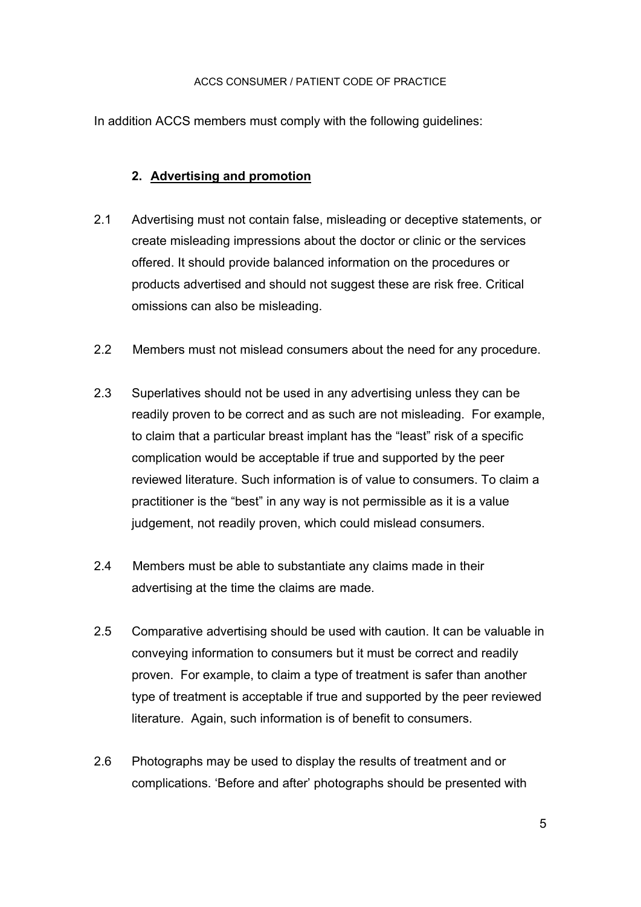In addition ACCS members must comply with the following guidelines:

## **2. Advertising and promotion**

- 2.1 Advertising must not contain false, misleading or deceptive statements, or create misleading impressions about the doctor or clinic or the services offered. It should provide balanced information on the procedures or products advertised and should not suggest these are risk free. Critical omissions can also be misleading.
- 2.2 Members must not mislead consumers about the need for any procedure.
- 2.3 Superlatives should not be used in any advertising unless they can be readily proven to be correct and as such are not misleading. For example, to claim that a particular breast implant has the "least" risk of a specific complication would be acceptable if true and supported by the peer reviewed literature. Such information is of value to consumers. To claim a practitioner is the "best" in any way is not permissible as it is a value judgement, not readily proven, which could mislead consumers.
- 2.4 Members must be able to substantiate any claims made in their advertising at the time the claims are made.
- 2.5 Comparative advertising should be used with caution. It can be valuable in conveying information to consumers but it must be correct and readily proven. For example, to claim a type of treatment is safer than another type of treatment is acceptable if true and supported by the peer reviewed literature. Again, such information is of benefit to consumers.
- 2.6 Photographs may be used to display the results of treatment and or complications. 'Before and after' photographs should be presented with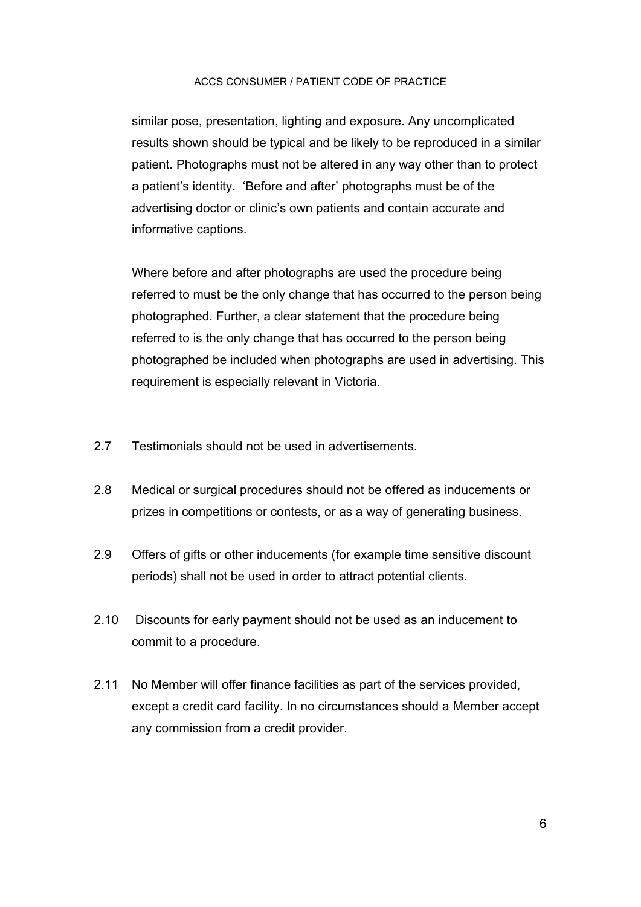similar pose, presentation, lighting and exposure. Any uncomplicated results shown should be typical and be likely to be reproduced in a similar patient. Photographs must not be altered in any way other than to protect a patient's identity. 'Before and after' photographs must be of the advertising doctor or clinic's own patients and contain accurate and informative captions.

Where before and after photographs are used the procedure being referred to must be the only change that has occurred to the person being photographed. Further, a clear statement that the procedure being referred to is the only change that has occurred to the person being photographed be included when photographs are used in advertising. This requirement is especially relevant in Victoria.

- 2.7 Testimonials should not be used in advertisements.
- 2.8 Medical or surgical procedures should not be offered as inducements or prizes in competitions or contests, or as a way of generating business.
- 2.9 Offers of gifts or other inducements (for example time sensitive discount periods) shall not be used in order to attract potential clients.
- 2.10 Discounts for early payment should not be used as an inducement to commit to a procedure.
- 2.11 No Member will offer finance facilities as part of the services provided, except a credit card facility. In no circumstances should a Member accept any commission from a credit provider.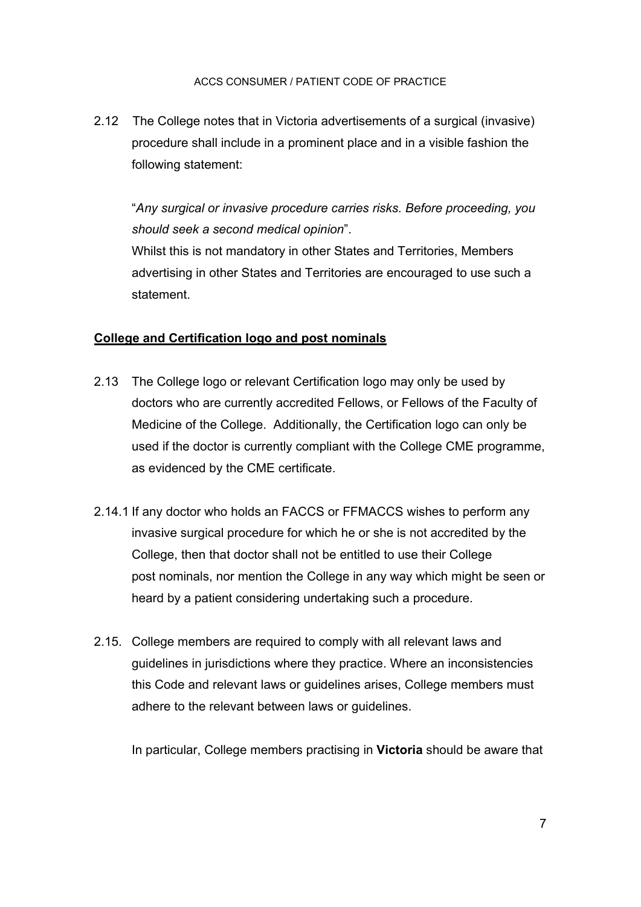2.12 The College notes that in Victoria advertisements of a surgical (invasive) procedure shall include in a prominent place and in a visible fashion the following statement:

"*Any surgical or invasive procedure carries risks. Before proceeding, you should seek a second medical opinion*". Whilst this is not mandatory in other States and Territories, Members advertising in other States and Territories are encouraged to use such a

## **College and Certification logo and post nominals**

statement.

- 2.13 The College logo or relevant Certification logo may only be used by doctors who are currently accredited Fellows, or Fellows of the Faculty of Medicine of the College. Additionally, the Certification logo can only be used if the doctor is currently compliant with the College CME programme, as evidenced by the CME certificate.
- 2.14.1 If any doctor who holds an FACCS or FFMACCS wishes to perform any invasive surgical procedure for which he or she is not accredited by the College, then that doctor shall not be entitled to use their College post nominals, nor mention the College in any way which might be seen or heard by a patient considering undertaking such a procedure.
- 2.15. College members are required to comply with all relevant laws and guidelines in jurisdictions where they practice. Where an inconsistencies this Code and relevant laws or guidelines arises, College members must adhere to the relevant between laws or guidelines.

In particular, College members practising in **Victoria** should be aware that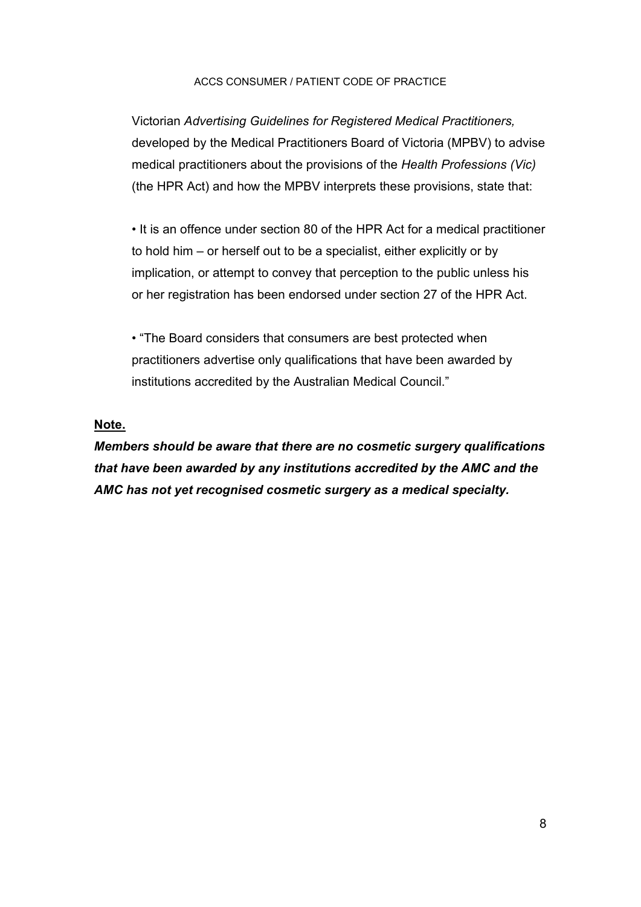Victorian *Advertising Guidelines for Registered Medical Practitioners,*  developed by the Medical Practitioners Board of Victoria (MPBV) to advise medical practitioners about the provisions of the *Health Professions (Vic)*  (the HPR Act) and how the MPBV interprets these provisions, state that:

• It is an offence under section 80 of the HPR Act for a medical practitioner to hold him – or herself out to be a specialist, either explicitly or by implication, or attempt to convey that perception to the public unless his or her registration has been endorsed under section 27 of the HPR Act.

• "The Board considers that consumers are best protected when practitioners advertise only qualifications that have been awarded by institutions accredited by the Australian Medical Council."

#### **Note.**

*Members should be aware that there are no cosmetic surgery qualifications that have been awarded by any institutions accredited by the AMC and the AMC has not yet recognised cosmetic surgery as a medical specialty.*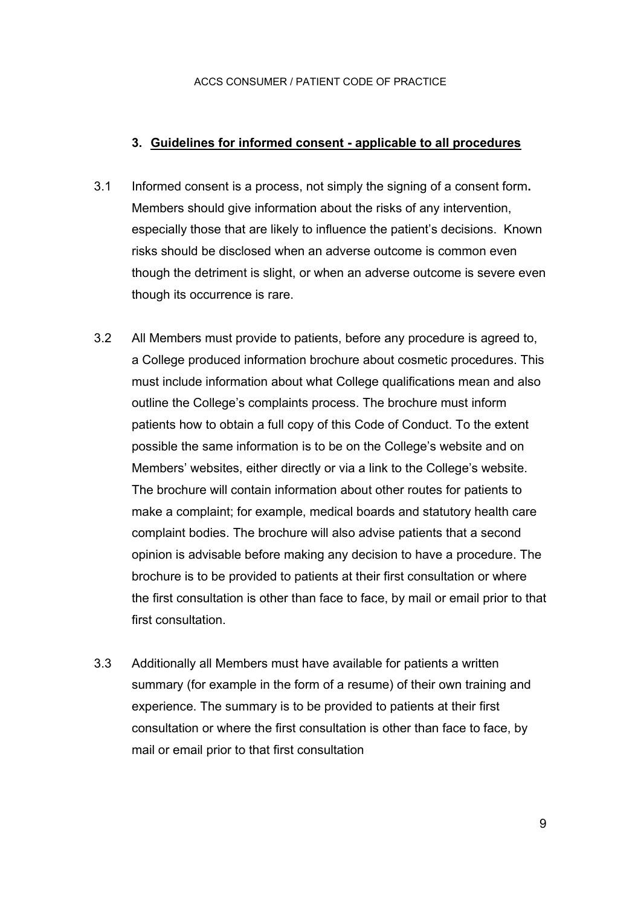#### **3. Guidelines for informed consent - applicable to all procedures**

- 3.1 Informed consent is a process, not simply the signing of a consent form**.**  Members should give information about the risks of any intervention, especially those that are likely to influence the patient's decisions. Known risks should be disclosed when an adverse outcome is common even though the detriment is slight, or when an adverse outcome is severe even though its occurrence is rare.
- 3.2 All Members must provide to patients, before any procedure is agreed to, a College produced information brochure about cosmetic procedures. This must include information about what College qualifications mean and also outline the College's complaints process. The brochure must inform patients how to obtain a full copy of this Code of Conduct. To the extent possible the same information is to be on the College's website and on Members' websites, either directly or via a link to the College's website. The brochure will contain information about other routes for patients to make a complaint; for example, medical boards and statutory health care complaint bodies. The brochure will also advise patients that a second opinion is advisable before making any decision to have a procedure. The brochure is to be provided to patients at their first consultation or where the first consultation is other than face to face, by mail or email prior to that first consultation.
- 3.3 Additionally all Members must have available for patients a written summary (for example in the form of a resume) of their own training and experience. The summary is to be provided to patients at their first consultation or where the first consultation is other than face to face, by mail or email prior to that first consultation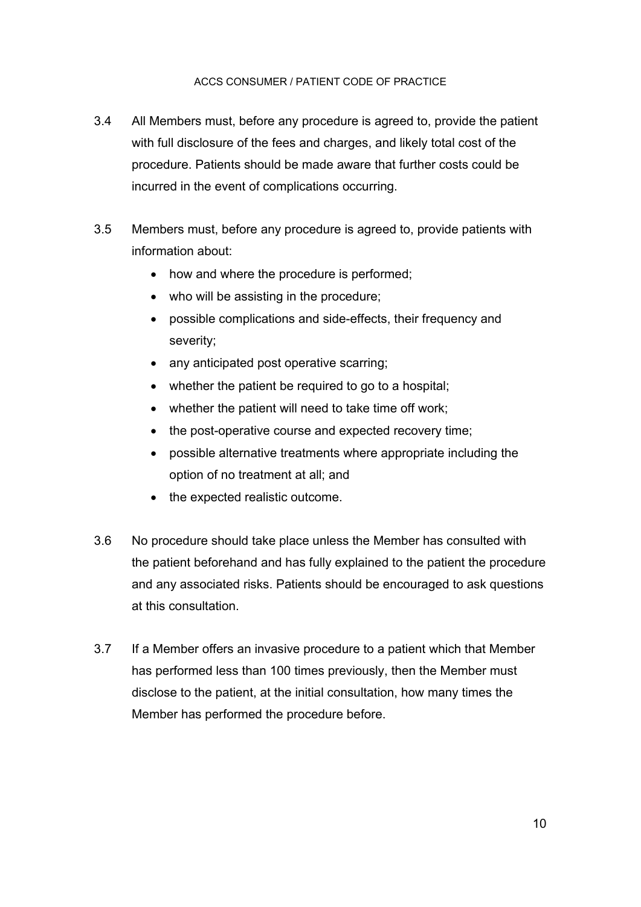- 3.4 All Members must, before any procedure is agreed to, provide the patient with full disclosure of the fees and charges, and likely total cost of the procedure. Patients should be made aware that further costs could be incurred in the event of complications occurring.
- 3.5 Members must, before any procedure is agreed to, provide patients with information about:
	- how and where the procedure is performed;
	- who will be assisting in the procedure;
	- possible complications and side-effects, their frequency and severity;
	- any anticipated post operative scarring;
	- whether the patient be required to go to a hospital;
	- whether the patient will need to take time off work;
	- the post-operative course and expected recovery time;
	- possible alternative treatments where appropriate including the option of no treatment at all; and
	- the expected realistic outcome.
- 3.6 No procedure should take place unless the Member has consulted with the patient beforehand and has fully explained to the patient the procedure and any associated risks. Patients should be encouraged to ask questions at this consultation.
- 3.7 If a Member offers an invasive procedure to a patient which that Member has performed less than 100 times previously, then the Member must disclose to the patient, at the initial consultation, how many times the Member has performed the procedure before.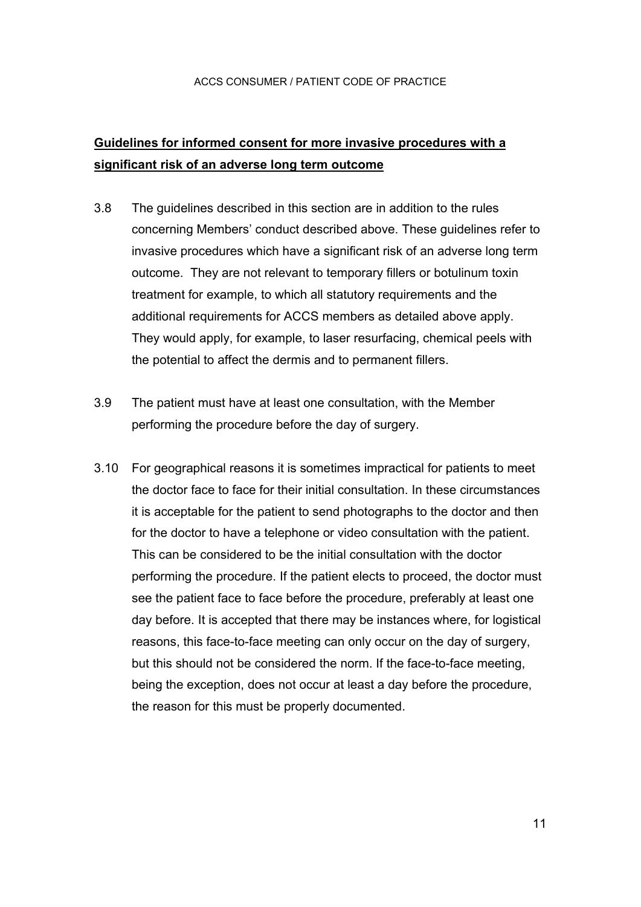## **Guidelines for informed consent for more invasive procedures with a significant risk of an adverse long term outcome**

- 3.8 The guidelines described in this section are in addition to the rules concerning Members' conduct described above. These guidelines refer to invasive procedures which have a significant risk of an adverse long term outcome. They are not relevant to temporary fillers or botulinum toxin treatment for example, to which all statutory requirements and the additional requirements for ACCS members as detailed above apply. They would apply, for example, to laser resurfacing, chemical peels with the potential to affect the dermis and to permanent fillers.
- 3.9 The patient must have at least one consultation, with the Member performing the procedure before the day of surgery.
- 3.10 For geographical reasons it is sometimes impractical for patients to meet the doctor face to face for their initial consultation. In these circumstances it is acceptable for the patient to send photographs to the doctor and then for the doctor to have a telephone or video consultation with the patient. This can be considered to be the initial consultation with the doctor performing the procedure. If the patient elects to proceed, the doctor must see the patient face to face before the procedure, preferably at least one day before. It is accepted that there may be instances where, for logistical reasons, this face-to-face meeting can only occur on the day of surgery, but this should not be considered the norm. If the face-to-face meeting, being the exception, does not occur at least a day before the procedure, the reason for this must be properly documented.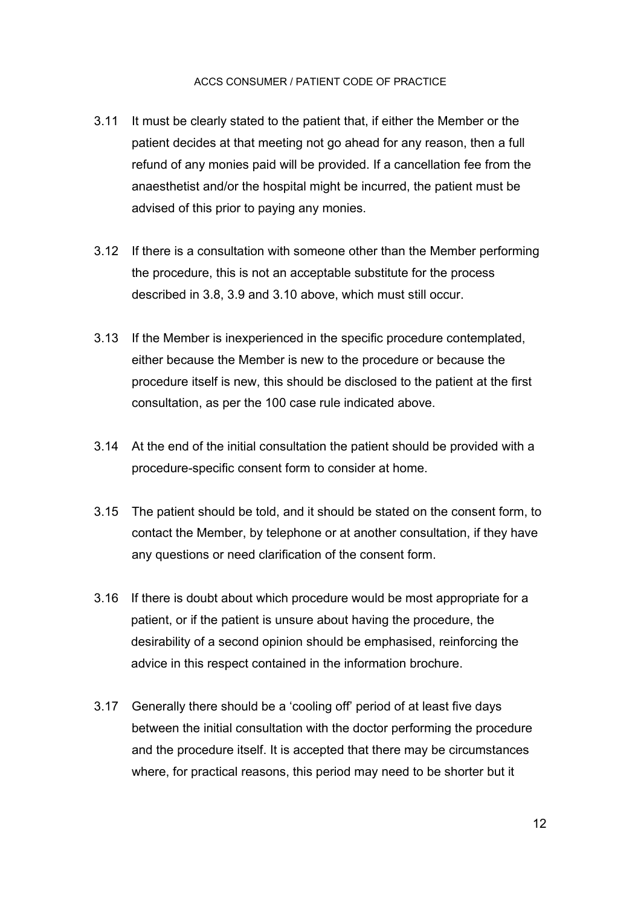- 3.11 It must be clearly stated to the patient that, if either the Member or the patient decides at that meeting not go ahead for any reason, then a full refund of any monies paid will be provided. If a cancellation fee from the anaesthetist and/or the hospital might be incurred, the patient must be advised of this prior to paying any monies.
- 3.12 If there is a consultation with someone other than the Member performing the procedure, this is not an acceptable substitute for the process described in 3.8, 3.9 and 3.10 above, which must still occur.
- 3.13 If the Member is inexperienced in the specific procedure contemplated, either because the Member is new to the procedure or because the procedure itself is new, this should be disclosed to the patient at the first consultation, as per the 100 case rule indicated above.
- 3.14 At the end of the initial consultation the patient should be provided with a procedure-specific consent form to consider at home.
- 3.15 The patient should be told, and it should be stated on the consent form, to contact the Member, by telephone or at another consultation, if they have any questions or need clarification of the consent form.
- 3.16 If there is doubt about which procedure would be most appropriate for a patient, or if the patient is unsure about having the procedure, the desirability of a second opinion should be emphasised, reinforcing the advice in this respect contained in the information brochure.
- 3.17 Generally there should be a 'cooling off' period of at least five days between the initial consultation with the doctor performing the procedure and the procedure itself. It is accepted that there may be circumstances where, for practical reasons, this period may need to be shorter but it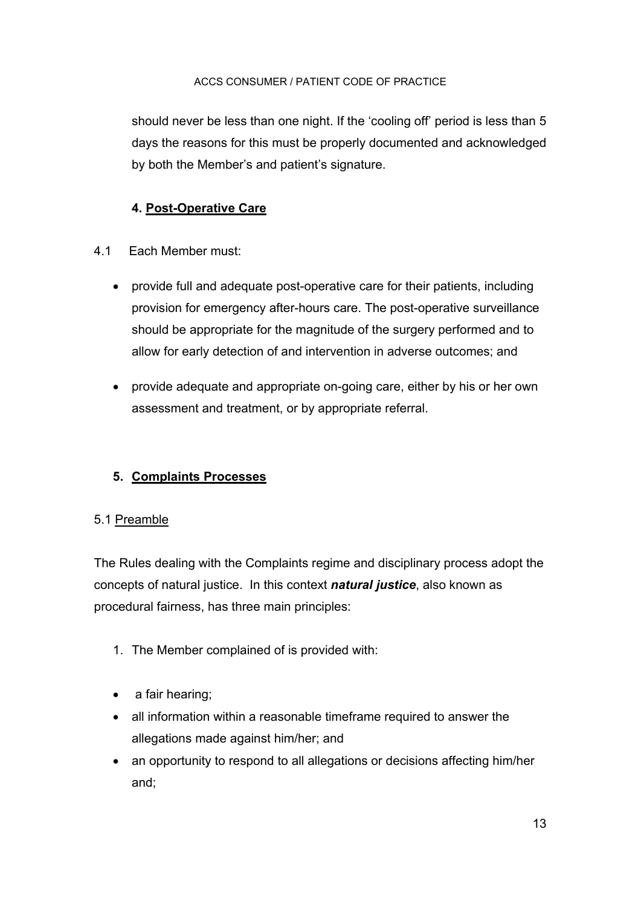should never be less than one night. If the 'cooling off' period is less than 5 days the reasons for this must be properly documented and acknowledged by both the Member's and patient's signature.

## **4. Post-Operative Care**

- 4.1 Each Member must:
	- provide full and adequate post-operative care for their patients, including provision for emergency after-hours care. The post-operative surveillance should be appropriate for the magnitude of the surgery performed and to allow for early detection of and intervention in adverse outcomes; and
	- provide adequate and appropriate on-going care, either by his or her own assessment and treatment, or by appropriate referral.

## **5. Complaints Processes**

## 5.1 Preamble

The Rules dealing with the Complaints regime and disciplinary process adopt the concepts of natural justice. In this context *natural justice*, also known as procedural fairness, has three main principles:

- 1. The Member complained of is provided with:
- a fair hearing;
- all information within a reasonable timeframe required to answer the allegations made against him/her; and
- an opportunity to respond to all allegations or decisions affecting him/her and;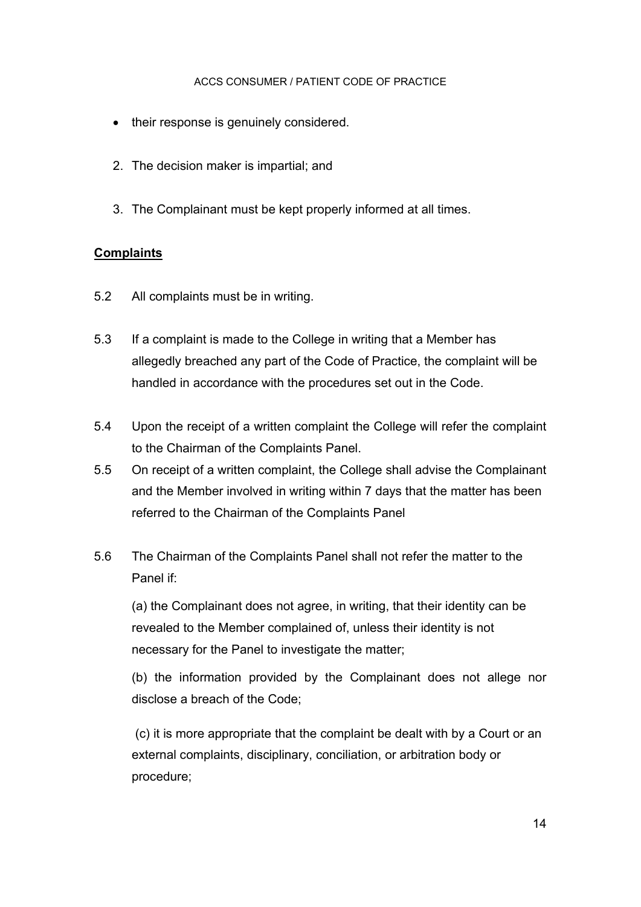- their response is genuinely considered.
- 2. The decision maker is impartial; and
- 3. The Complainant must be kept properly informed at all times.

## **Complaints**

- 5.2 All complaints must be in writing.
- 5.3 If a complaint is made to the College in writing that a Member has allegedly breached any part of the Code of Practice, the complaint will be handled in accordance with the procedures set out in the Code.
- 5.4 Upon the receipt of a written complaint the College will refer the complaint to the Chairman of the Complaints Panel.
- 5.5 On receipt of a written complaint, the College shall advise the Complainant and the Member involved in writing within 7 days that the matter has been referred to the Chairman of the Complaints Panel
- 5.6 The Chairman of the Complaints Panel shall not refer the matter to the Panel if:

(a) the Complainant does not agree, in writing, that their identity can be revealed to the Member complained of, unless their identity is not necessary for the Panel to investigate the matter;

(b) the information provided by the Complainant does not allege nor disclose a breach of the Code;

(c) it is more appropriate that the complaint be dealt with by a Court or an external complaints, disciplinary, conciliation, or arbitration body or procedure;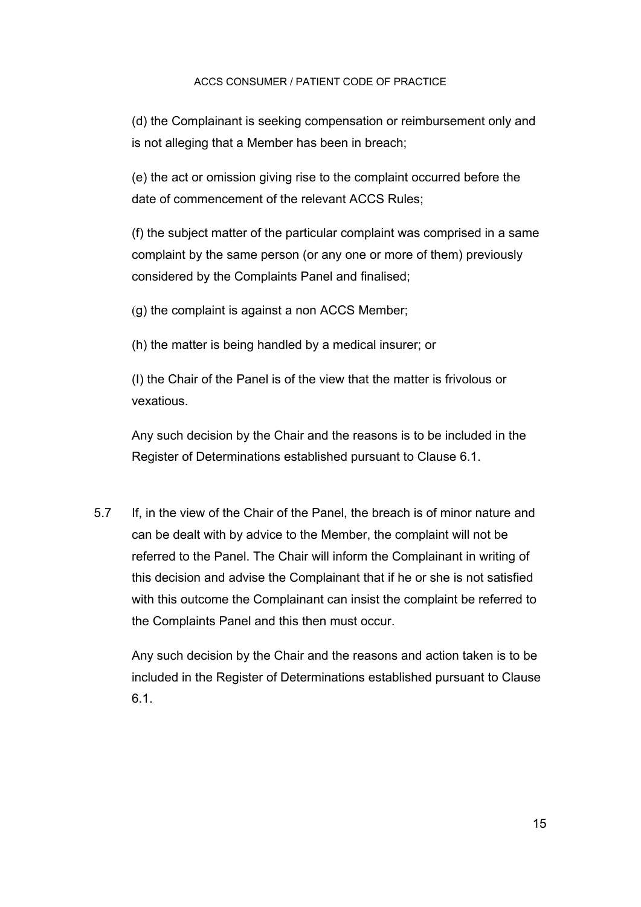(d) the Complainant is seeking compensation or reimbursement only and is not alleging that a Member has been in breach;

(e) the act or omission giving rise to the complaint occurred before the date of commencement of the relevant ACCS Rules;

(f) the subject matter of the particular complaint was comprised in a same complaint by the same person (or any one or more of them) previously considered by the Complaints Panel and finalised;

(g) the complaint is against a non ACCS Member;

(h) the matter is being handled by a medical insurer; or

(I) the Chair of the Panel is of the view that the matter is frivolous or vexatious.

Any such decision by the Chair and the reasons is to be included in the Register of Determinations established pursuant to Clause 6.1.

5.7 If, in the view of the Chair of the Panel, the breach is of minor nature and can be dealt with by advice to the Member, the complaint will not be referred to the Panel. The Chair will inform the Complainant in writing of this decision and advise the Complainant that if he or she is not satisfied with this outcome the Complainant can insist the complaint be referred to the Complaints Panel and this then must occur.

Any such decision by the Chair and the reasons and action taken is to be included in the Register of Determinations established pursuant to Clause 6.1.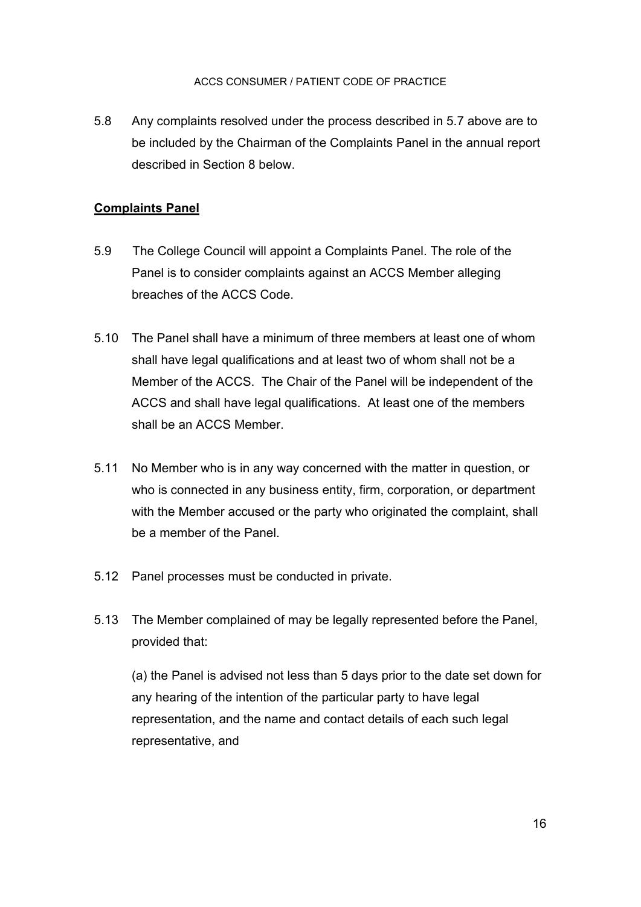5.8 Any complaints resolved under the process described in 5.7 above are to be included by the Chairman of the Complaints Panel in the annual report described in Section 8 below.

## **Complaints Panel**

- 5.9 The College Council will appoint a Complaints Panel. The role of the Panel is to consider complaints against an ACCS Member alleging breaches of the ACCS Code.
- 5.10 The Panel shall have a minimum of three members at least one of whom shall have legal qualifications and at least two of whom shall not be a Member of the ACCS. The Chair of the Panel will be independent of the ACCS and shall have legal qualifications. At least one of the members shall be an ACCS Member.
- 5.11 No Member who is in any way concerned with the matter in question, or who is connected in any business entity, firm, corporation, or department with the Member accused or the party who originated the complaint, shall be a member of the Panel.
- 5.12 Panel processes must be conducted in private.
- 5.13 The Member complained of may be legally represented before the Panel, provided that:

(a) the Panel is advised not less than 5 days prior to the date set down for any hearing of the intention of the particular party to have legal representation, and the name and contact details of each such legal representative, and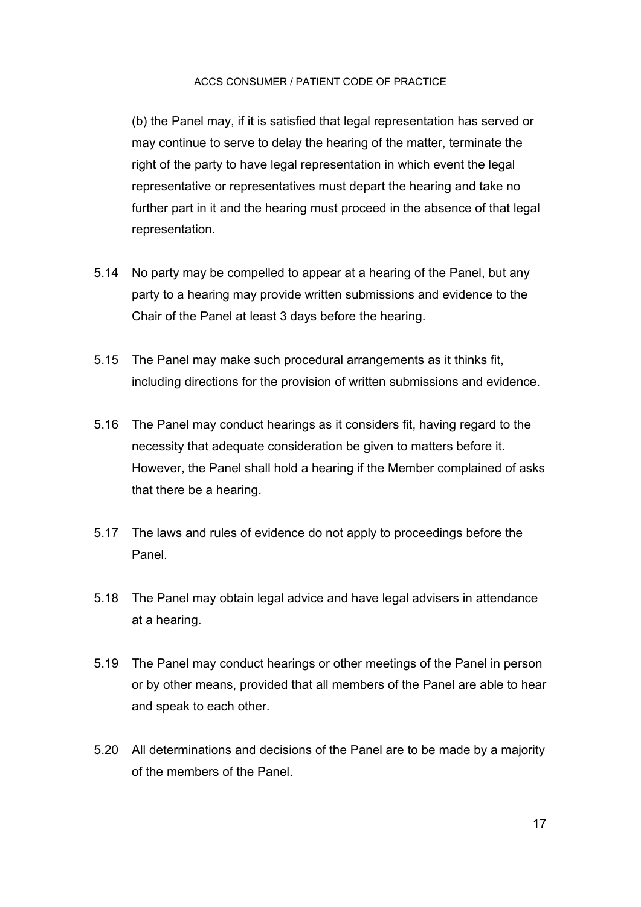(b) the Panel may, if it is satisfied that legal representation has served or may continue to serve to delay the hearing of the matter, terminate the right of the party to have legal representation in which event the legal representative or representatives must depart the hearing and take no further part in it and the hearing must proceed in the absence of that legal representation.

- 5.14 No party may be compelled to appear at a hearing of the Panel, but any party to a hearing may provide written submissions and evidence to the Chair of the Panel at least 3 days before the hearing.
- 5.15 The Panel may make such procedural arrangements as it thinks fit, including directions for the provision of written submissions and evidence.
- 5.16 The Panel may conduct hearings as it considers fit, having regard to the necessity that adequate consideration be given to matters before it. However, the Panel shall hold a hearing if the Member complained of asks that there be a hearing.
- 5.17 The laws and rules of evidence do not apply to proceedings before the Panel.
- 5.18 The Panel may obtain legal advice and have legal advisers in attendance at a hearing.
- 5.19 The Panel may conduct hearings or other meetings of the Panel in person or by other means, provided that all members of the Panel are able to hear and speak to each other.
- 5.20 All determinations and decisions of the Panel are to be made by a majority of the members of the Panel.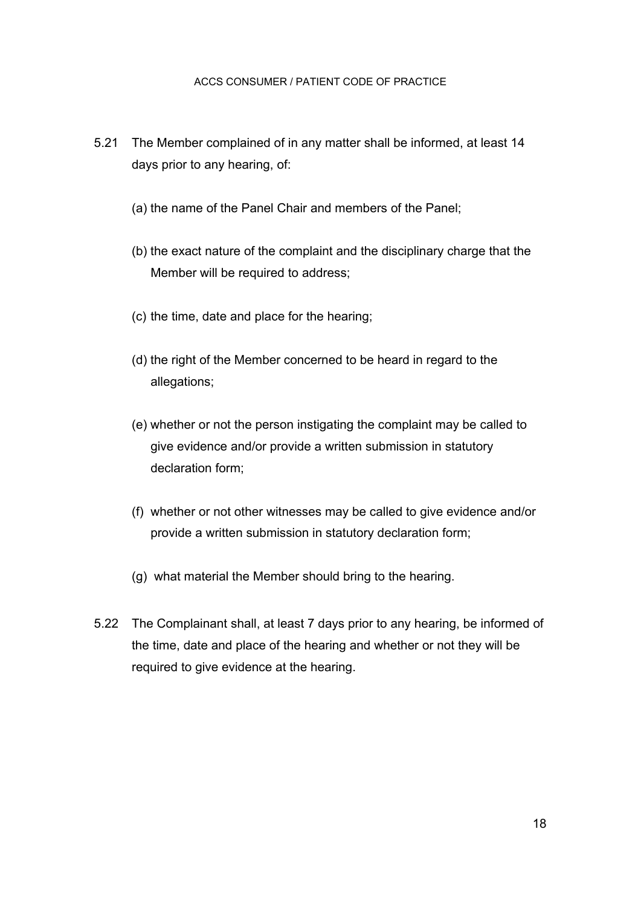- 5.21 The Member complained of in any matter shall be informed, at least 14 days prior to any hearing, of:
	- (a) the name of the Panel Chair and members of the Panel;
	- (b) the exact nature of the complaint and the disciplinary charge that the Member will be required to address;
	- (c) the time, date and place for the hearing;
	- (d) the right of the Member concerned to be heard in regard to the allegations;
	- (e) whether or not the person instigating the complaint may be called to give evidence and/or provide a written submission in statutory declaration form;
	- (f) whether or not other witnesses may be called to give evidence and/or provide a written submission in statutory declaration form;
	- (g) what material the Member should bring to the hearing.
- 5.22 The Complainant shall, at least 7 days prior to any hearing, be informed of the time, date and place of the hearing and whether or not they will be required to give evidence at the hearing.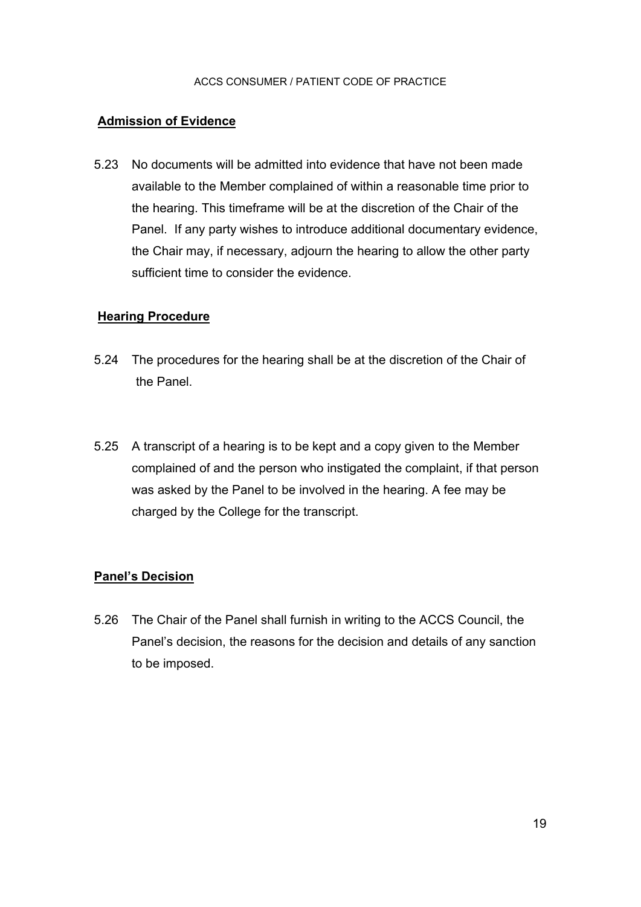#### **Admission of Evidence**

5.23 No documents will be admitted into evidence that have not been made available to the Member complained of within a reasonable time prior to the hearing. This timeframe will be at the discretion of the Chair of the Panel. If any party wishes to introduce additional documentary evidence, the Chair may, if necessary, adjourn the hearing to allow the other party sufficient time to consider the evidence.

#### **Hearing Procedure**

- 5.24 The procedures for the hearing shall be at the discretion of the Chair of the Panel.
- 5.25 A transcript of a hearing is to be kept and a copy given to the Member complained of and the person who instigated the complaint, if that person was asked by the Panel to be involved in the hearing. A fee may be charged by the College for the transcript.

## **Panel's Decision**

5.26 The Chair of the Panel shall furnish in writing to the ACCS Council, the Panel's decision, the reasons for the decision and details of any sanction to be imposed.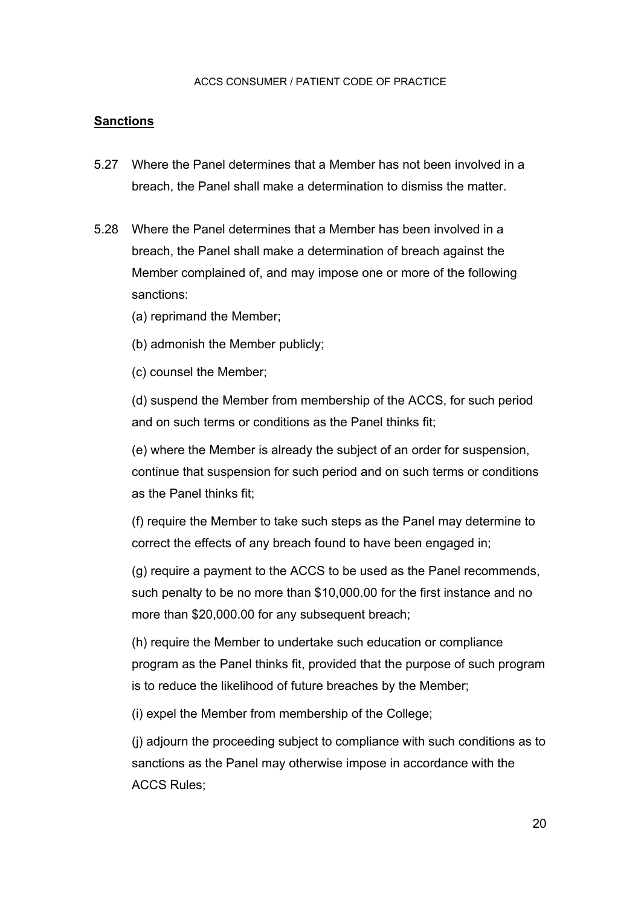#### **Sanctions**

- 5.27 Where the Panel determines that a Member has not been involved in a breach, the Panel shall make a determination to dismiss the matter.
- 5.28 Where the Panel determines that a Member has been involved in a breach, the Panel shall make a determination of breach against the Member complained of, and may impose one or more of the following sanctions:
	- (a) reprimand the Member;
	- (b) admonish the Member publicly;
	- (c) counsel the Member;

(d) suspend the Member from membership of the ACCS, for such period and on such terms or conditions as the Panel thinks fit;

(e) where the Member is already the subject of an order for suspension, continue that suspension for such period and on such terms or conditions as the Panel thinks fit;

(f) require the Member to take such steps as the Panel may determine to correct the effects of any breach found to have been engaged in;

(g) require a payment to the ACCS to be used as the Panel recommends, such penalty to be no more than \$10,000.00 for the first instance and no more than \$20,000.00 for any subsequent breach;

(h) require the Member to undertake such education or compliance program as the Panel thinks fit, provided that the purpose of such program is to reduce the likelihood of future breaches by the Member;

(i) expel the Member from membership of the College;

(j) adjourn the proceeding subject to compliance with such conditions as to sanctions as the Panel may otherwise impose in accordance with the ACCS Rules;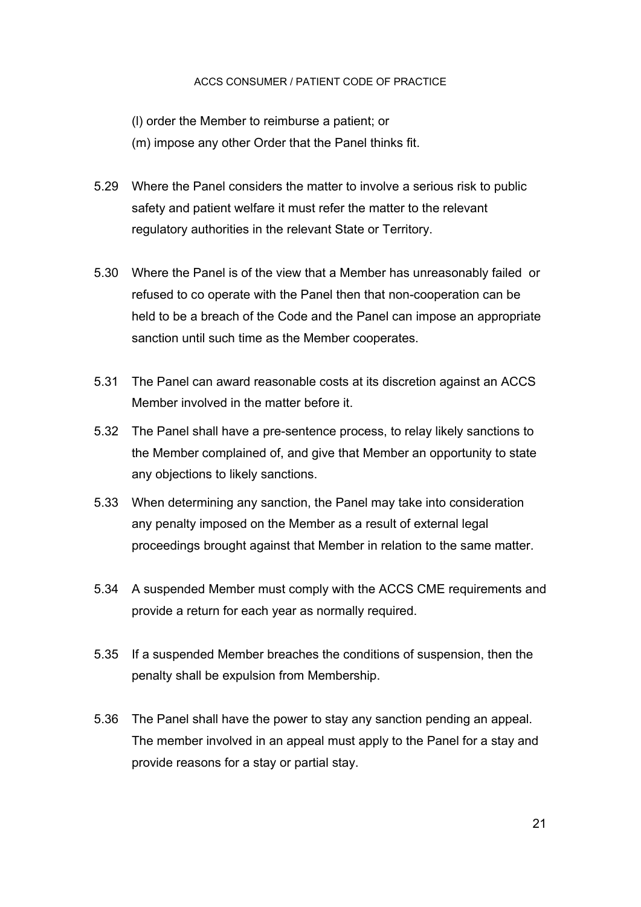(l) order the Member to reimburse a patient; or

(m) impose any other Order that the Panel thinks fit.

- 5.29 Where the Panel considers the matter to involve a serious risk to public safety and patient welfare it must refer the matter to the relevant regulatory authorities in the relevant State or Territory.
- 5.30 Where the Panel is of the view that a Member has unreasonably failed or refused to co operate with the Panel then that non-cooperation can be held to be a breach of the Code and the Panel can impose an appropriate sanction until such time as the Member cooperates.
- 5.31 The Panel can award reasonable costs at its discretion against an ACCS Member involved in the matter before it.
- 5.32 The Panel shall have a pre-sentence process, to relay likely sanctions to the Member complained of, and give that Member an opportunity to state any objections to likely sanctions.
- 5.33 When determining any sanction, the Panel may take into consideration any penalty imposed on the Member as a result of external legal proceedings brought against that Member in relation to the same matter.
- 5.34 A suspended Member must comply with the ACCS CME requirements and provide a return for each year as normally required.
- 5.35 If a suspended Member breaches the conditions of suspension, then the penalty shall be expulsion from Membership.
- 5.36 The Panel shall have the power to stay any sanction pending an appeal. The member involved in an appeal must apply to the Panel for a stay and provide reasons for a stay or partial stay.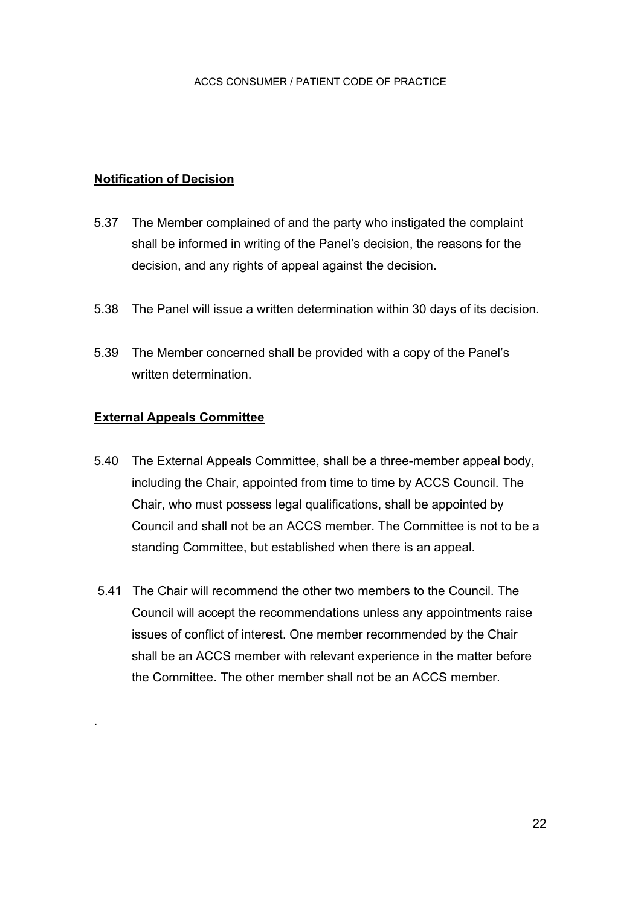## **Notification of Decision**

- 5.37 The Member complained of and the party who instigated the complaint shall be informed in writing of the Panel's decision, the reasons for the decision, and any rights of appeal against the decision.
- 5.38 The Panel will issue a written determination within 30 days of its decision.
- 5.39 The Member concerned shall be provided with a copy of the Panel's written determination.

#### **External Appeals Committee**

.

- 5.40 The External Appeals Committee, shall be a three-member appeal body, including the Chair, appointed from time to time by ACCS Council. The Chair, who must possess legal qualifications, shall be appointed by Council and shall not be an ACCS member. The Committee is not to be a standing Committee, but established when there is an appeal.
- 5.41 The Chair will recommend the other two members to the Council. The Council will accept the recommendations unless any appointments raise issues of conflict of interest. One member recommended by the Chair shall be an ACCS member with relevant experience in the matter before the Committee. The other member shall not be an ACCS member.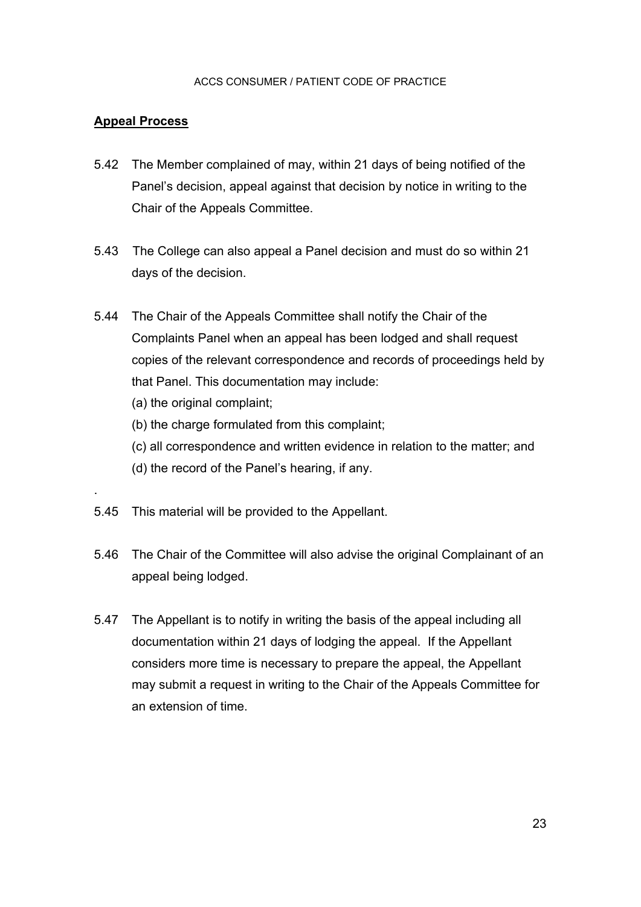## **Appeal Process**

.

- 5.42 The Member complained of may, within 21 days of being notified of the Panel's decision, appeal against that decision by notice in writing to the Chair of the Appeals Committee.
- 5.43 The College can also appeal a Panel decision and must do so within 21 days of the decision.
- 5.44 The Chair of the Appeals Committee shall notify the Chair of the Complaints Panel when an appeal has been lodged and shall request copies of the relevant correspondence and records of proceedings held by that Panel. This documentation may include:
	- (a) the original complaint;
	- (b) the charge formulated from this complaint;
	- (c) all correspondence and written evidence in relation to the matter; and
	- (d) the record of the Panel's hearing, if any.
- 5.45 This material will be provided to the Appellant.
- 5.46 The Chair of the Committee will also advise the original Complainant of an appeal being lodged.
- 5.47 The Appellant is to notify in writing the basis of the appeal including all documentation within 21 days of lodging the appeal. If the Appellant considers more time is necessary to prepare the appeal, the Appellant may submit a request in writing to the Chair of the Appeals Committee for an extension of time.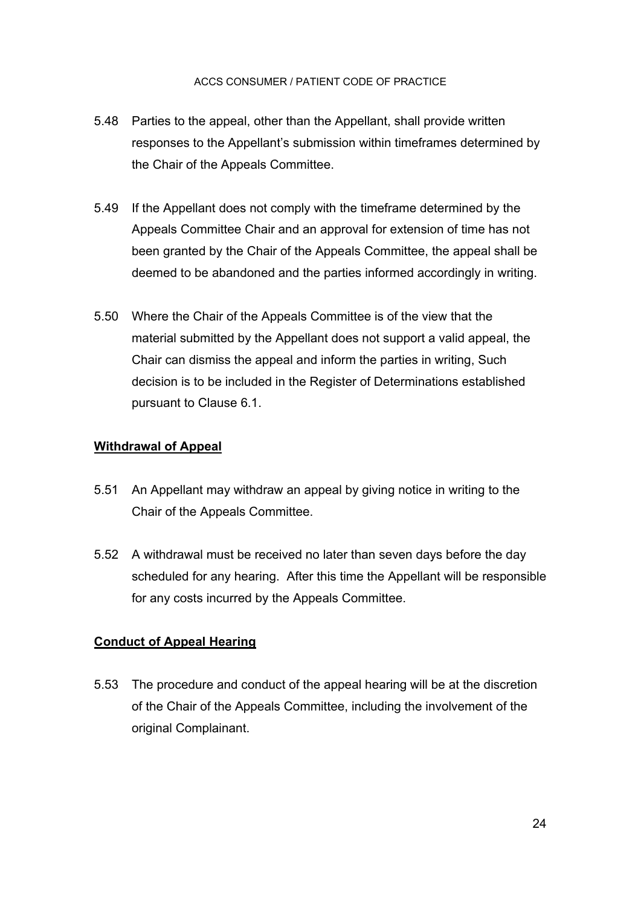- 5.48 Parties to the appeal, other than the Appellant, shall provide written responses to the Appellant's submission within timeframes determined by the Chair of the Appeals Committee.
- 5.49 If the Appellant does not comply with the timeframe determined by the Appeals Committee Chair and an approval for extension of time has not been granted by the Chair of the Appeals Committee, the appeal shall be deemed to be abandoned and the parties informed accordingly in writing.
- 5.50 Where the Chair of the Appeals Committee is of the view that the material submitted by the Appellant does not support a valid appeal, the Chair can dismiss the appeal and inform the parties in writing, Such decision is to be included in the Register of Determinations established pursuant to Clause 6.1.

## **Withdrawal of Appeal**

- 5.51 An Appellant may withdraw an appeal by giving notice in writing to the Chair of the Appeals Committee.
- 5.52 A withdrawal must be received no later than seven days before the day scheduled for any hearing. After this time the Appellant will be responsible for any costs incurred by the Appeals Committee.

## **Conduct of Appeal Hearing**

5.53 The procedure and conduct of the appeal hearing will be at the discretion of the Chair of the Appeals Committee, including the involvement of the original Complainant.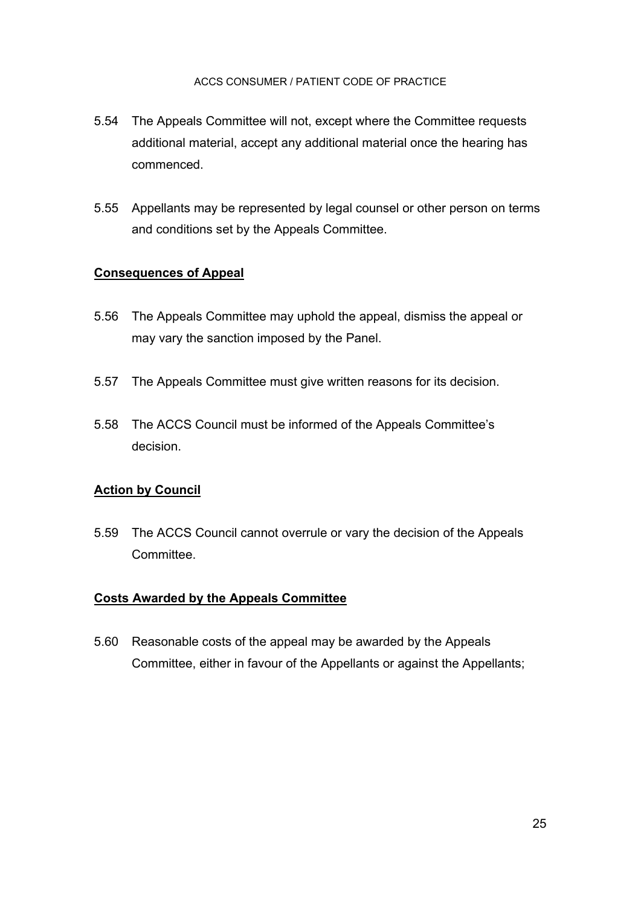- 5.54 The Appeals Committee will not, except where the Committee requests additional material, accept any additional material once the hearing has commenced.
- 5.55 Appellants may be represented by legal counsel or other person on terms and conditions set by the Appeals Committee.

## **Consequences of Appeal**

- 5.56 The Appeals Committee may uphold the appeal, dismiss the appeal or may vary the sanction imposed by the Panel.
- 5.57 The Appeals Committee must give written reasons for its decision.
- 5.58 The ACCS Council must be informed of the Appeals Committee's decision.

## **Action by Council**

5.59 The ACCS Council cannot overrule or vary the decision of the Appeals **Committee.** 

## **Costs Awarded by the Appeals Committee**

5.60 Reasonable costs of the appeal may be awarded by the Appeals Committee, either in favour of the Appellants or against the Appellants;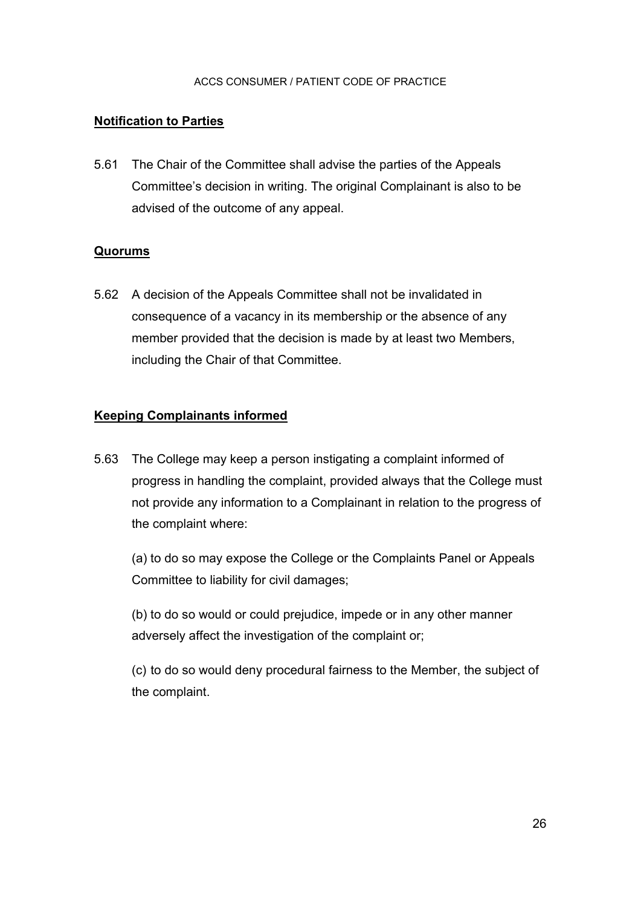### **Notification to Parties**

5.61 The Chair of the Committee shall advise the parties of the Appeals Committee's decision in writing. The original Complainant is also to be advised of the outcome of any appeal.

#### **Quorums**

5.62 A decision of the Appeals Committee shall not be invalidated in consequence of a vacancy in its membership or the absence of any member provided that the decision is made by at least two Members, including the Chair of that Committee.

#### **Keeping Complainants informed**

5.63 The College may keep a person instigating a complaint informed of progress in handling the complaint, provided always that the College must not provide any information to a Complainant in relation to the progress of the complaint where:

 (a) to do so may expose the College or the Complaints Panel or Appeals Committee to liability for civil damages;

 (b) to do so would or could prejudice, impede or in any other manner adversely affect the investigation of the complaint or;

 (c) to do so would deny procedural fairness to the Member, the subject of the complaint.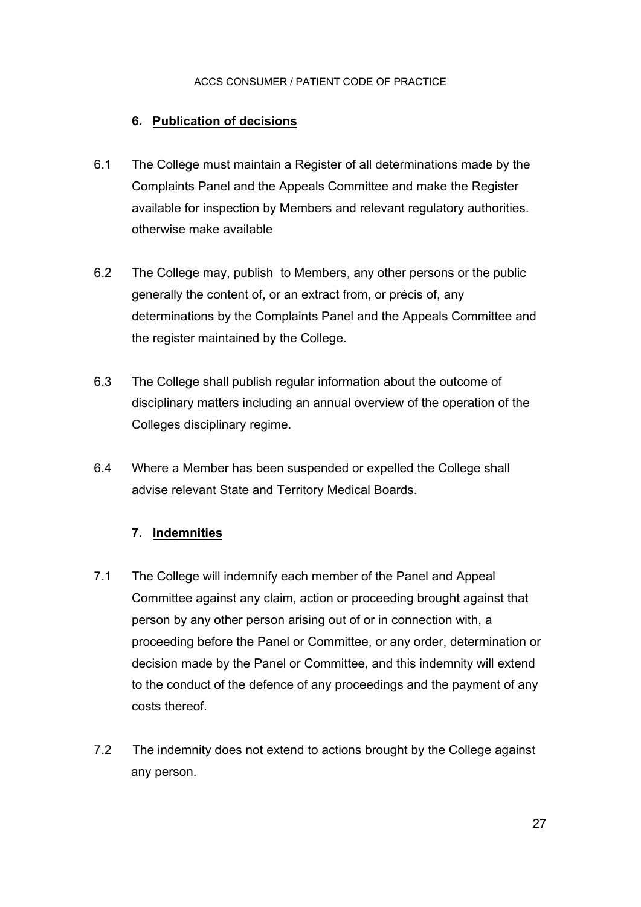## **6. Publication of decisions**

- 6.1 The College must maintain a Register of all determinations made by the Complaints Panel and the Appeals Committee and make the Register available for inspection by Members and relevant regulatory authorities. otherwise make available
- 6.2 The College may, publish to Members, any other persons or the public generally the content of, or an extract from, or précis of, any determinations by the Complaints Panel and the Appeals Committee and the register maintained by the College.
- 6.3 The College shall publish regular information about the outcome of disciplinary matters including an annual overview of the operation of the Colleges disciplinary regime.
- 6.4 Where a Member has been suspended or expelled the College shall advise relevant State and Territory Medical Boards.

## **7. Indemnities**

- 7.1 The College will indemnify each member of the Panel and Appeal Committee against any claim, action or proceeding brought against that person by any other person arising out of or in connection with, a proceeding before the Panel or Committee, or any order, determination or decision made by the Panel or Committee, and this indemnity will extend to the conduct of the defence of any proceedings and the payment of any costs thereof.
- 7.2 The indemnity does not extend to actions brought by the College against any person.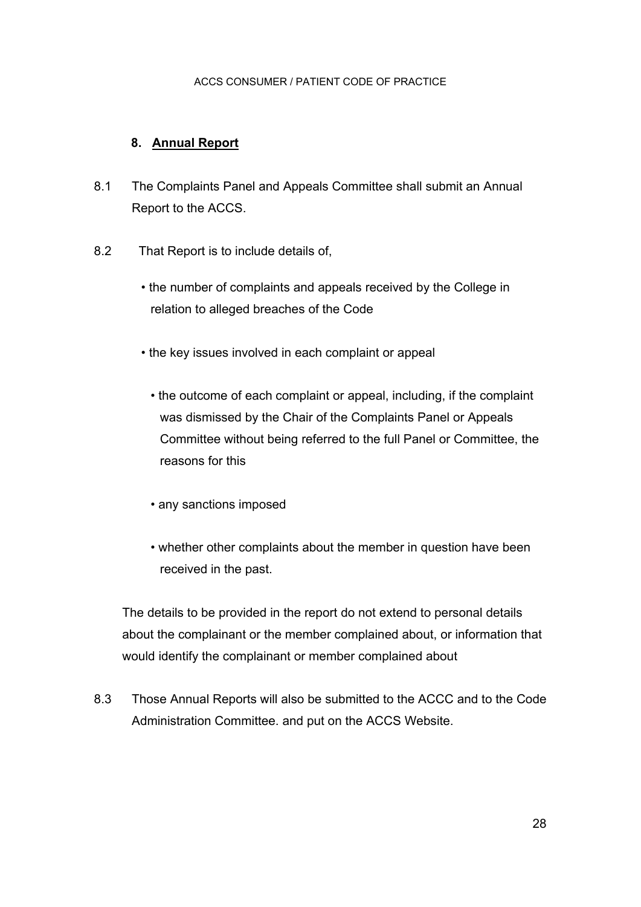## **8. Annual Report**

- 8.1 The Complaints Panel and Appeals Committee shall submit an Annual Report to the ACCS.
- 8.2 That Report is to include details of,
	- the number of complaints and appeals received by the College in relation to alleged breaches of the Code
	- the key issues involved in each complaint or appeal
		- the outcome of each complaint or appeal, including, if the complaint was dismissed by the Chair of the Complaints Panel or Appeals Committee without being referred to the full Panel or Committee, the reasons for this
		- any sanctions imposed
		- whether other complaints about the member in question have been received in the past.

The details to be provided in the report do not extend to personal details about the complainant or the member complained about, or information that would identify the complainant or member complained about

8.3 Those Annual Reports will also be submitted to the ACCC and to the Code Administration Committee. and put on the ACCS Website.